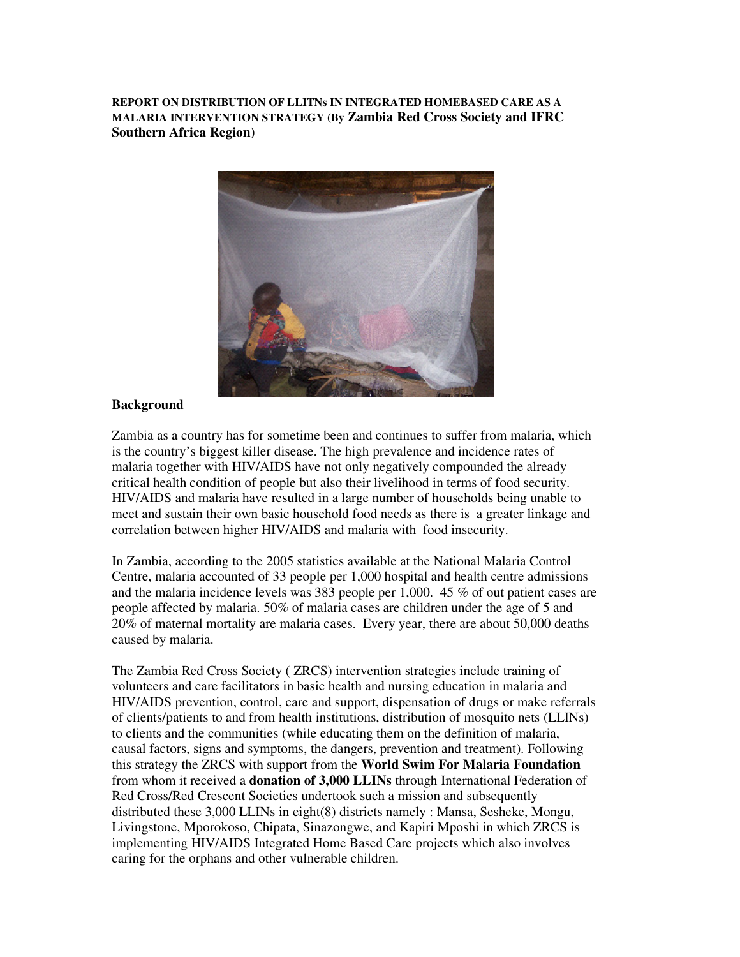**REPORT ON DISTRIBUTION OF LLITNs IN INTEGRATED HOMEBASED CARE AS A MALARIA INTERVENTION STRATEGY (By Zambia Red Cross Society and IFRC Southern Africa Region)** 



#### **Background**

Zambia as a country has for sometime been and continues to suffer from malaria, which is the country's biggest killer disease. The high prevalence and incidence rates of malaria together with HIV/AIDS have not only negatively compounded the already critical health condition of people but also their livelihood in terms of food security. HIV/AIDS and malaria have resulted in a large number of households being unable to meet and sustain their own basic household food needs as there is a greater linkage and correlation between higher HIV/AIDS and malaria with food insecurity.

In Zambia, according to the 2005 statistics available at the National Malaria Control Centre, malaria accounted of 33 people per 1,000 hospital and health centre admissions and the malaria incidence levels was 383 people per 1,000. 45 % of out patient cases are people affected by malaria. 50% of malaria cases are children under the age of 5 and 20% of maternal mortality are malaria cases. Every year, there are about 50,000 deaths caused by malaria.

The Zambia Red Cross Society ( ZRCS) intervention strategies include training of volunteers and care facilitators in basic health and nursing education in malaria and HIV/AIDS prevention, control, care and support, dispensation of drugs or make referrals of clients/patients to and from health institutions, distribution of mosquito nets (LLINs) to clients and the communities (while educating them on the definition of malaria, causal factors, signs and symptoms, the dangers, prevention and treatment). Following this strategy the ZRCS with support from the **World Swim For Malaria Foundation** from whom it received a **donation of 3,000 LLINs** through International Federation of Red Cross/Red Crescent Societies undertook such a mission and subsequently distributed these 3,000 LLINs in eight(8) districts namely : Mansa, Sesheke, Mongu, Livingstone, Mporokoso, Chipata, Sinazongwe, and Kapiri Mposhi in which ZRCS is implementing HIV/AIDS Integrated Home Based Care projects which also involves caring for the orphans and other vulnerable children.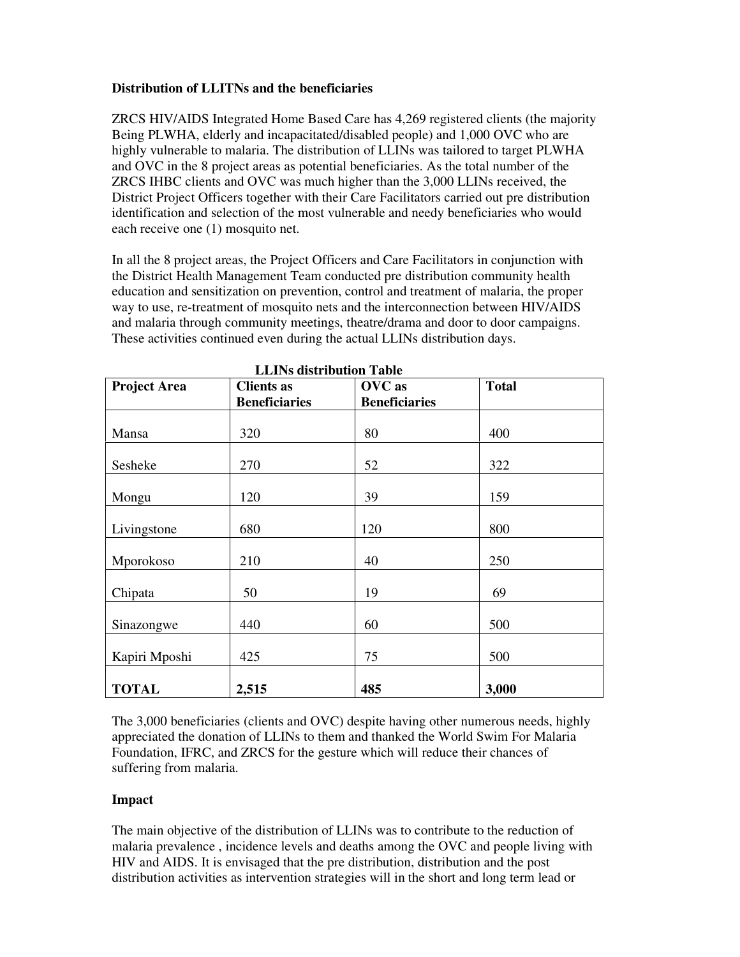### **Distribution of LLITNs and the beneficiaries**

ZRCS HIV/AIDS Integrated Home Based Care has 4,269 registered clients (the majority Being PLWHA, elderly and incapacitated/disabled people) and 1,000 OVC who are highly vulnerable to malaria. The distribution of LLINs was tailored to target PLWHA and OVC in the 8 project areas as potential beneficiaries. As the total number of the ZRCS IHBC clients and OVC was much higher than the 3,000 LLINs received, the District Project Officers together with their Care Facilitators carried out pre distribution identification and selection of the most vulnerable and needy beneficiaries who would each receive one (1) mosquito net.

In all the 8 project areas, the Project Officers and Care Facilitators in conjunction with the District Health Management Team conducted pre distribution community health education and sensitization on prevention, control and treatment of malaria, the proper way to use, re-treatment of mosquito nets and the interconnection between HIV/AIDS and malaria through community meetings, theatre/drama and door to door campaigns. These activities continued even during the actual LLINs distribution days.

| <b>Project Area</b> | <b>Clients as</b>    | OVC as               | <b>Total</b> |
|---------------------|----------------------|----------------------|--------------|
|                     | <b>Beneficiaries</b> | <b>Beneficiaries</b> |              |
|                     |                      |                      |              |
| Mansa               | 320                  | 80                   | 400          |
| Sesheke             | 270                  | 52                   | 322          |
| Mongu               | 120                  | 39                   | 159          |
| Livingstone         | 680                  | 120                  | 800          |
| Mporokoso           | 210                  | 40                   | 250          |
| Chipata             | 50                   | 19                   | 69           |
| Sinazongwe          | 440                  | 60                   | 500          |
| Kapiri Mposhi       | 425                  | 75                   | 500          |
| <b>TOTAL</b>        | 2,515                | 485                  | 3,000        |

**LLINs distribution Table** 

The 3,000 beneficiaries (clients and OVC) despite having other numerous needs, highly appreciated the donation of LLINs to them and thanked the World Swim For Malaria Foundation, IFRC, and ZRCS for the gesture which will reduce their chances of suffering from malaria.

# **Impact**

The main objective of the distribution of LLINs was to contribute to the reduction of malaria prevalence , incidence levels and deaths among the OVC and people living with HIV and AIDS. It is envisaged that the pre distribution, distribution and the post distribution activities as intervention strategies will in the short and long term lead or